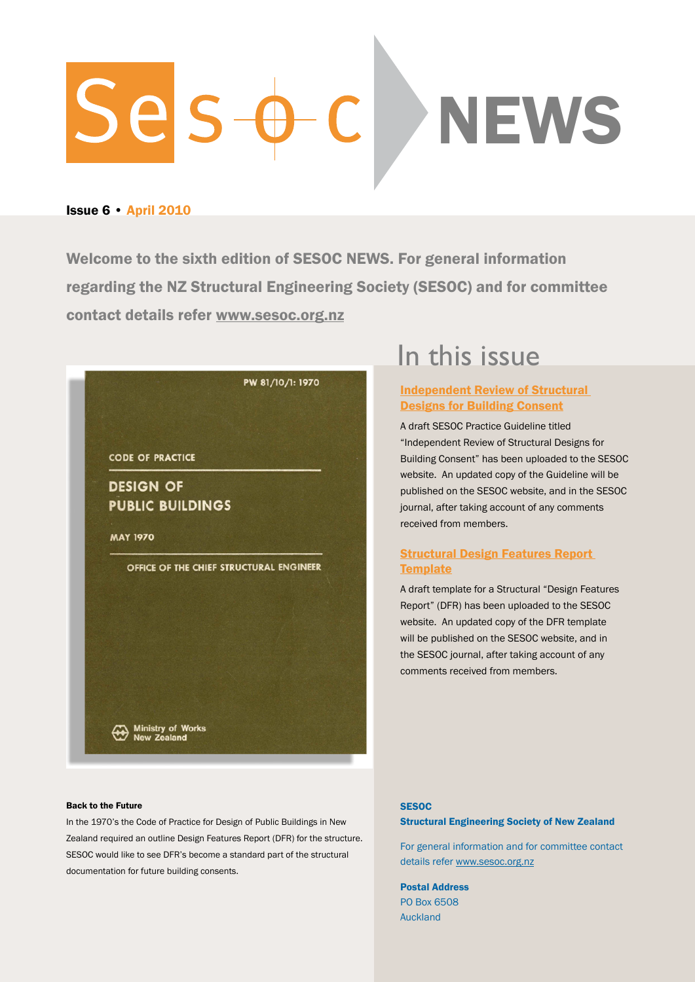# ses **NEWS**

#### Issue 6 • April 2010

Welcome to the sixth edition of SESOC NEWS. For general information regarding the NZ Structural Engineering Society (SESOC) and for committee contact details refer<www.sesoc.org.nz>



#### Back to the Future

In the 1970's the Code of Practice for Design of Public Buildings in New Zealand required an outline Design Features Report (DFR) for the structure. SESOC would like to see DFR's become a standard part of the structural documentation for future building consents.

# <span id="page-0-0"></span>In this issue

#### [Independent Review of Structural](#page-1-0)  [Designs for Building Consent](#page-1-0)

A draft SESOC Practice Guideline titled "Independent Review of Structural Designs for Building Consent" has been uploaded to the SESOC website. An updated copy of the Guideline will be published on the SESOC website, and in the SESOC journal, after taking account of any comments received from members.

#### [Structural Design Features Report](#page-1-1)  **[Template](#page-1-1)**

A draft template for a Structural "Design Features Report" (DFR) has been uploaded to the SESOC website. An updated copy of the DFR template will be published on the SESOC website, and in the SESOC journal, after taking account of any comments received from members.

#### **SESOC**

#### Structural Engineering Society of New Zealand

For general information and for committee contact details refer <www.sesoc.org.nz>

Postal Address PO Box 6508 **Auckland**